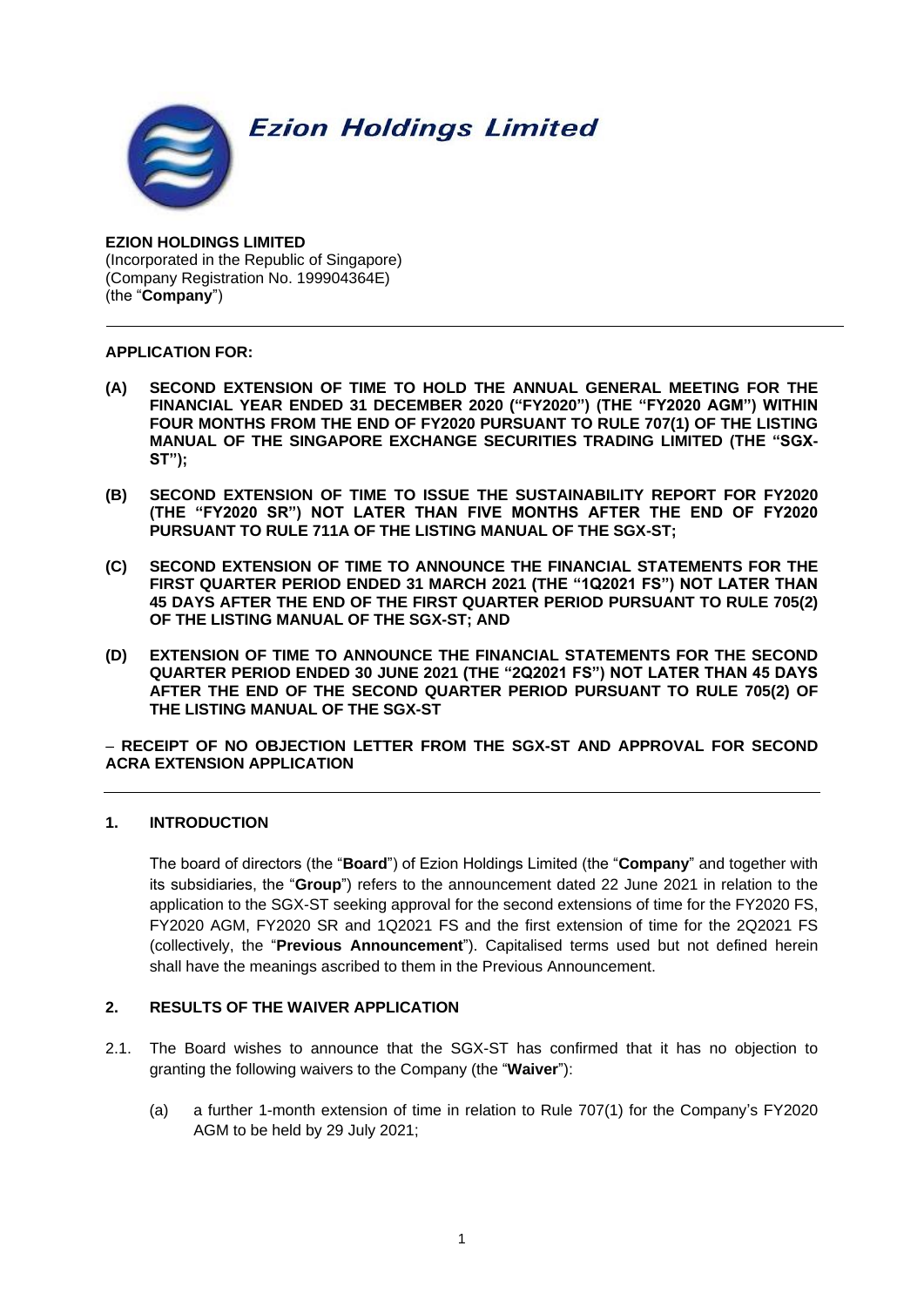**Ezion Holdings Limited** 



**EZION HOLDINGS LIMITED** (Incorporated in the Republic of Singapore) (Company Registration No. 199904364E) (the "**Company**")

# **APPLICATION FOR:**

- **(A) SECOND EXTENSION OF TIME TO HOLD THE ANNUAL GENERAL MEETING FOR THE FINANCIAL YEAR ENDED 31 DECEMBER 2020 ("FY2020") (THE "FY2020 AGM") WITHIN FOUR MONTHS FROM THE END OF FY2020 PURSUANT TO RULE 707(1) OF THE LISTING MANUAL OF THE SINGAPORE EXCHANGE SECURITIES TRADING LIMITED (THE "SGX-ST");**
- **(B) SECOND EXTENSION OF TIME TO ISSUE THE SUSTAINABILITY REPORT FOR FY2020 (THE "FY2020 SR") NOT LATER THAN FIVE MONTHS AFTER THE END OF FY2020 PURSUANT TO RULE 711A OF THE LISTING MANUAL OF THE SGX-ST;**
- **(C) SECOND EXTENSION OF TIME TO ANNOUNCE THE FINANCIAL STATEMENTS FOR THE FIRST QUARTER PERIOD ENDED 31 MARCH 2021 (THE "1Q2021 FS") NOT LATER THAN 45 DAYS AFTER THE END OF THE FIRST QUARTER PERIOD PURSUANT TO RULE 705(2) OF THE LISTING MANUAL OF THE SGX-ST; AND**
- **(D) EXTENSION OF TIME TO ANNOUNCE THE FINANCIAL STATEMENTS FOR THE SECOND QUARTER PERIOD ENDED 30 JUNE 2021 (THE "2Q2021 FS") NOT LATER THAN 45 DAYS AFTER THE END OF THE SECOND QUARTER PERIOD PURSUANT TO RULE 705(2) OF THE LISTING MANUAL OF THE SGX-ST**

− **RECEIPT OF NO OBJECTION LETTER FROM THE SGX-ST AND APPROVAL FOR SECOND ACRA EXTENSION APPLICATION**

# **1. INTRODUCTION**

The board of directors (the "**Board**") of Ezion Holdings Limited (the "**Company**" and together with its subsidiaries, the "**Group**") refers to the announcement dated 22 June 2021 in relation to the application to the SGX-ST seeking approval for the second extensions of time for the FY2020 FS, FY2020 AGM, FY2020 SR and 1Q2021 FS and the first extension of time for the 2Q2021 FS (collectively, the "**Previous Announcement**"). Capitalised terms used but not defined herein shall have the meanings ascribed to them in the Previous Announcement.

### **2. RESULTS OF THE WAIVER APPLICATION**

- 2.1. The Board wishes to announce that the SGX-ST has confirmed that it has no objection to granting the following waivers to the Company (the "**Waiver**"):
	- (a) a further 1-month extension of time in relation to Rule 707(1) for the Company's FY2020 AGM to be held by 29 July 2021;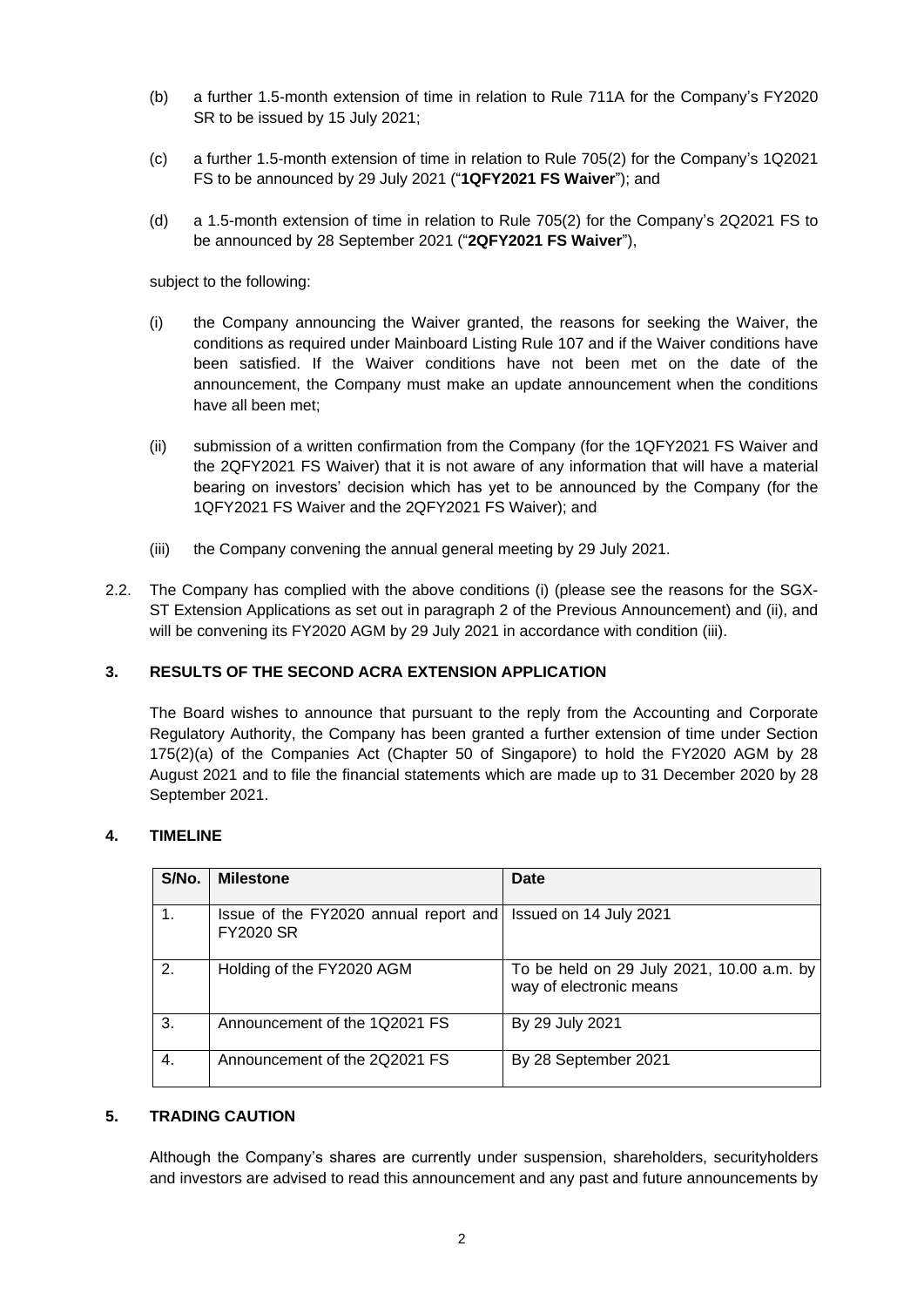- (b) a further 1.5-month extension of time in relation to Rule 711A for the Company's FY2020 SR to be issued by 15 July 2021;
- (c) a further 1.5-month extension of time in relation to Rule 705(2) for the Company's 1Q2021 FS to be announced by 29 July 2021 ("**1QFY2021 FS Waiver**"); and
- (d) a 1.5-month extension of time in relation to Rule 705(2) for the Company's 2Q2021 FS to be announced by 28 September 2021 ("**2QFY2021 FS Waiver**"),

subject to the following:

- (i) the Company announcing the Waiver granted, the reasons for seeking the Waiver, the conditions as required under Mainboard Listing Rule 107 and if the Waiver conditions have been satisfied. If the Waiver conditions have not been met on the date of the announcement, the Company must make an update announcement when the conditions have all been met;
- (ii) submission of a written confirmation from the Company (for the 1QFY2021 FS Waiver and the 2QFY2021 FS Waiver) that it is not aware of any information that will have a material bearing on investors' decision which has yet to be announced by the Company (for the 1QFY2021 FS Waiver and the 2QFY2021 FS Waiver); and
- (iii) the Company convening the annual general meeting by 29 July 2021.
- 2.2. The Company has complied with the above conditions (i) (please see the reasons for the SGX-ST Extension Applications as set out in paragraph 2 of the Previous Announcement) and (ii), and will be convening its FY2020 AGM by 29 July 2021 in accordance with condition (iii).

### **3. RESULTS OF THE SECOND ACRA EXTENSION APPLICATION**

The Board wishes to announce that pursuant to the reply from the Accounting and Corporate Regulatory Authority, the Company has been granted a further extension of time under Section 175(2)(a) of the Companies Act (Chapter 50 of Singapore) to hold the FY2020 AGM by 28 August 2021 and to file the financial statements which are made up to 31 December 2020 by 28 September 2021.

#### **4. TIMELINE**

| S/No. | <b>Milestone</b>                                          | Date                                                                 |
|-------|-----------------------------------------------------------|----------------------------------------------------------------------|
|       | Issue of the FY2020 annual report and<br><b>FY2020 SR</b> | Issued on 14 July 2021                                               |
| 2.    | Holding of the FY2020 AGM                                 | To be held on 29 July 2021, 10.00 a.m. by<br>way of electronic means |
| 3.    | Announcement of the 1Q2021 FS                             | By 29 July 2021                                                      |
| 4.    | Announcement of the 2Q2021 FS                             | By 28 September 2021                                                 |

### **5. TRADING CAUTION**

Although the Company's shares are currently under suspension, shareholders, securityholders and investors are advised to read this announcement and any past and future announcements by